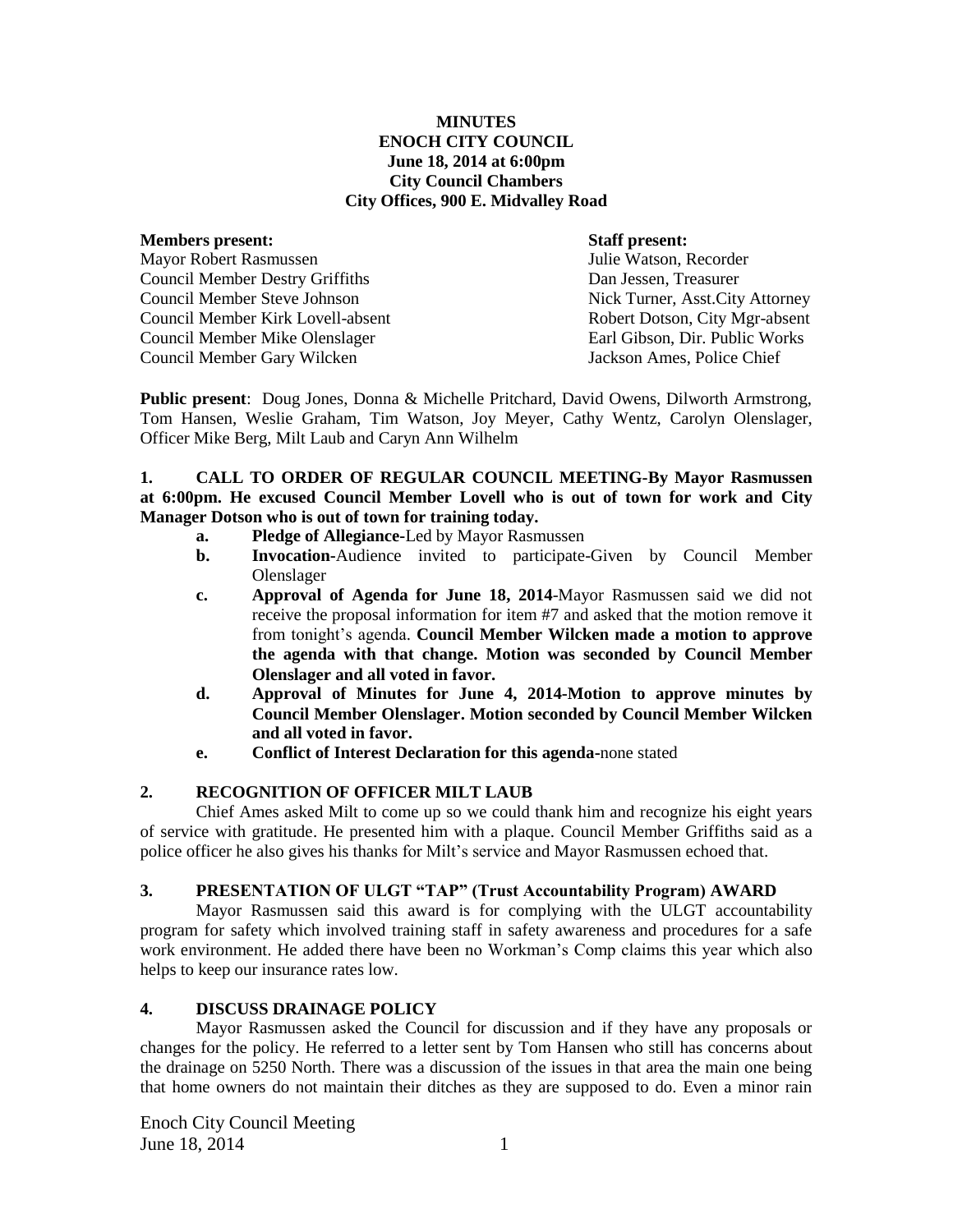## **MINUTES ENOCH CITY COUNCIL June 18, 2014 at 6:00pm City Council Chambers City Offices, 900 E. Midvalley Road**

#### **Members present: Staff present:**

Mayor Robert Rasmussen Julie Watson, Recorder Council Member Destry Griffiths Dan Jessen, Treasurer Council Member Steve Johnson Nick Turner, Asst.City Attorney Council Member Kirk Lovell-absent **Robert Dotson, City Mgr-absent** Council Member Mike Olenslager Earl Gibson, Dir. Public Works Council Member Gary Wilcken Jackson Ames, Police Chief

**Public present**: Doug Jones, Donna & Michelle Pritchard, David Owens, Dilworth Armstrong, Tom Hansen, Weslie Graham, Tim Watson, Joy Meyer, Cathy Wentz, Carolyn Olenslager, Officer Mike Berg, Milt Laub and Caryn Ann Wilhelm

## **1. CALL TO ORDER OF REGULAR COUNCIL MEETING-By Mayor Rasmussen at 6:00pm. He excused Council Member Lovell who is out of town for work and City Manager Dotson who is out of town for training today.**

- **a. Pledge of Allegiance-**Led by Mayor Rasmussen
- **b. Invocation-**Audience invited to participate-Given by Council Member Olenslager
- **c. Approval of Agenda for June 18, 2014**-Mayor Rasmussen said we did not receive the proposal information for item #7 and asked that the motion remove it from tonight's agenda. **Council Member Wilcken made a motion to approve the agenda with that change. Motion was seconded by Council Member Olenslager and all voted in favor.**
- **d. Approval of Minutes for June 4, 2014-Motion to approve minutes by Council Member Olenslager. Motion seconded by Council Member Wilcken and all voted in favor.**
- **e. Conflict of Interest Declaration for this agenda-**none stated

# **2. RECOGNITION OF OFFICER MILT LAUB**

Chief Ames asked Milt to come up so we could thank him and recognize his eight years of service with gratitude. He presented him with a plaque. Council Member Griffiths said as a police officer he also gives his thanks for Milt's service and Mayor Rasmussen echoed that.

# **3. PRESENTATION OF ULGT "TAP" (Trust Accountability Program) AWARD**

Mayor Rasmussen said this award is for complying with the ULGT accountability program for safety which involved training staff in safety awareness and procedures for a safe work environment. He added there have been no Workman's Comp claims this year which also helps to keep our insurance rates low.

# **4. DISCUSS DRAINAGE POLICY**

Mayor Rasmussen asked the Council for discussion and if they have any proposals or changes for the policy. He referred to a letter sent by Tom Hansen who still has concerns about the drainage on 5250 North. There was a discussion of the issues in that area the main one being that home owners do not maintain their ditches as they are supposed to do. Even a minor rain

Enoch City Council Meeting June  $18, 2014$  1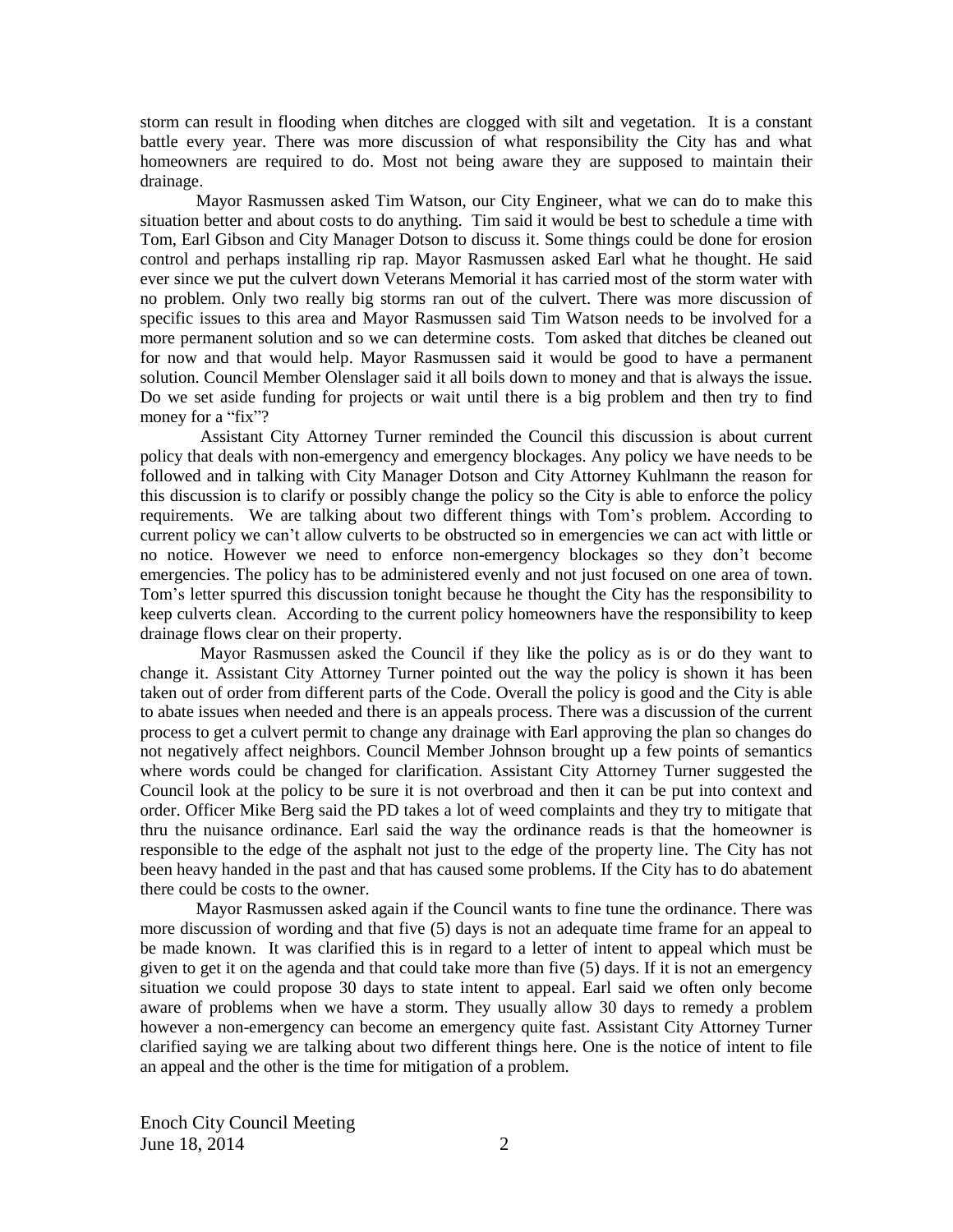storm can result in flooding when ditches are clogged with silt and vegetation. It is a constant battle every year. There was more discussion of what responsibility the City has and what homeowners are required to do. Most not being aware they are supposed to maintain their drainage.

Mayor Rasmussen asked Tim Watson, our City Engineer, what we can do to make this situation better and about costs to do anything. Tim said it would be best to schedule a time with Tom, Earl Gibson and City Manager Dotson to discuss it. Some things could be done for erosion control and perhaps installing rip rap. Mayor Rasmussen asked Earl what he thought. He said ever since we put the culvert down Veterans Memorial it has carried most of the storm water with no problem. Only two really big storms ran out of the culvert. There was more discussion of specific issues to this area and Mayor Rasmussen said Tim Watson needs to be involved for a more permanent solution and so we can determine costs. Tom asked that ditches be cleaned out for now and that would help. Mayor Rasmussen said it would be good to have a permanent solution. Council Member Olenslager said it all boils down to money and that is always the issue. Do we set aside funding for projects or wait until there is a big problem and then try to find money for a "fix"?

Assistant City Attorney Turner reminded the Council this discussion is about current policy that deals with non-emergency and emergency blockages. Any policy we have needs to be followed and in talking with City Manager Dotson and City Attorney Kuhlmann the reason for this discussion is to clarify or possibly change the policy so the City is able to enforce the policy requirements. We are talking about two different things with Tom's problem. According to current policy we can't allow culverts to be obstructed so in emergencies we can act with little or no notice. However we need to enforce non-emergency blockages so they don't become emergencies. The policy has to be administered evenly and not just focused on one area of town. Tom's letter spurred this discussion tonight because he thought the City has the responsibility to keep culverts clean. According to the current policy homeowners have the responsibility to keep drainage flows clear on their property.

Mayor Rasmussen asked the Council if they like the policy as is or do they want to change it. Assistant City Attorney Turner pointed out the way the policy is shown it has been taken out of order from different parts of the Code. Overall the policy is good and the City is able to abate issues when needed and there is an appeals process. There was a discussion of the current process to get a culvert permit to change any drainage with Earl approving the plan so changes do not negatively affect neighbors. Council Member Johnson brought up a few points of semantics where words could be changed for clarification. Assistant City Attorney Turner suggested the Council look at the policy to be sure it is not overbroad and then it can be put into context and order. Officer Mike Berg said the PD takes a lot of weed complaints and they try to mitigate that thru the nuisance ordinance. Earl said the way the ordinance reads is that the homeowner is responsible to the edge of the asphalt not just to the edge of the property line. The City has not been heavy handed in the past and that has caused some problems. If the City has to do abatement there could be costs to the owner.

Mayor Rasmussen asked again if the Council wants to fine tune the ordinance. There was more discussion of wording and that five (5) days is not an adequate time frame for an appeal to be made known. It was clarified this is in regard to a letter of intent to appeal which must be given to get it on the agenda and that could take more than five (5) days. If it is not an emergency situation we could propose 30 days to state intent to appeal. Earl said we often only become aware of problems when we have a storm. They usually allow 30 days to remedy a problem however a non-emergency can become an emergency quite fast. Assistant City Attorney Turner clarified saying we are talking about two different things here. One is the notice of intent to file an appeal and the other is the time for mitigation of a problem.

Enoch City Council Meeting June 18, 2014 2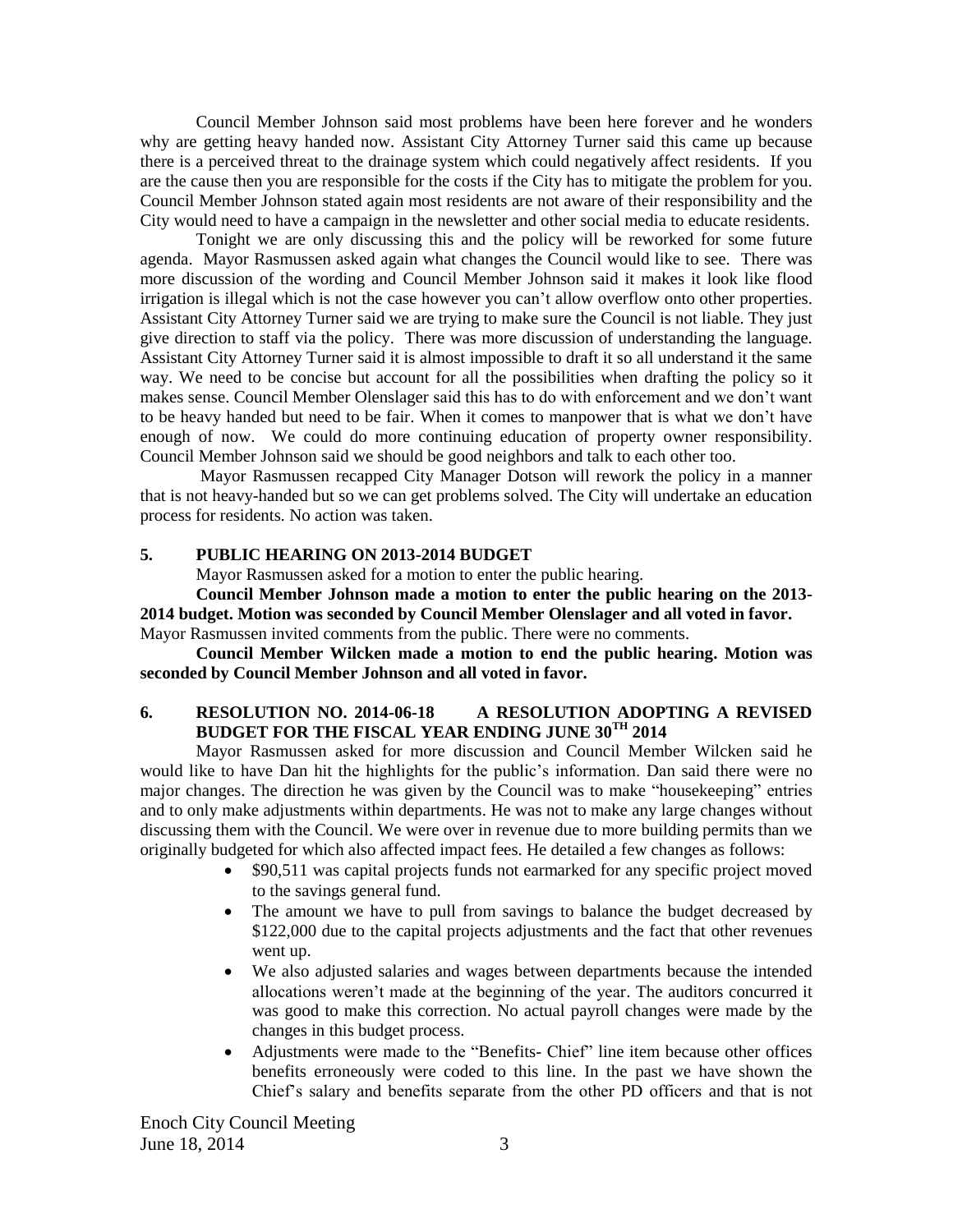Council Member Johnson said most problems have been here forever and he wonders why are getting heavy handed now. Assistant City Attorney Turner said this came up because there is a perceived threat to the drainage system which could negatively affect residents. If you are the cause then you are responsible for the costs if the City has to mitigate the problem for you. Council Member Johnson stated again most residents are not aware of their responsibility and the City would need to have a campaign in the newsletter and other social media to educate residents.

Tonight we are only discussing this and the policy will be reworked for some future agenda. Mayor Rasmussen asked again what changes the Council would like to see. There was more discussion of the wording and Council Member Johnson said it makes it look like flood irrigation is illegal which is not the case however you can't allow overflow onto other properties. Assistant City Attorney Turner said we are trying to make sure the Council is not liable. They just give direction to staff via the policy. There was more discussion of understanding the language. Assistant City Attorney Turner said it is almost impossible to draft it so all understand it the same way. We need to be concise but account for all the possibilities when drafting the policy so it makes sense. Council Member Olenslager said this has to do with enforcement and we don't want to be heavy handed but need to be fair. When it comes to manpower that is what we don't have enough of now. We could do more continuing education of property owner responsibility. Council Member Johnson said we should be good neighbors and talk to each other too.

Mayor Rasmussen recapped City Manager Dotson will rework the policy in a manner that is not heavy-handed but so we can get problems solved. The City will undertake an education process for residents. No action was taken.

### **5. PUBLIC HEARING ON 2013-2014 BUDGET**

Mayor Rasmussen asked for a motion to enter the public hearing.

**Council Member Johnson made a motion to enter the public hearing on the 2013- 2014 budget. Motion was seconded by Council Member Olenslager and all voted in favor.** Mayor Rasmussen invited comments from the public. There were no comments.

**Council Member Wilcken made a motion to end the public hearing. Motion was seconded by Council Member Johnson and all voted in favor.**

# **6. RESOLUTION NO. 2014-06-18 A RESOLUTION ADOPTING A REVISED BUDGET FOR THE FISCAL YEAR ENDING JUNE 30TH 2014**

Mayor Rasmussen asked for more discussion and Council Member Wilcken said he would like to have Dan hit the highlights for the public's information. Dan said there were no major changes. The direction he was given by the Council was to make "housekeeping" entries and to only make adjustments within departments. He was not to make any large changes without discussing them with the Council. We were over in revenue due to more building permits than we originally budgeted for which also affected impact fees. He detailed a few changes as follows:

- \$90,511 was capital projects funds not earmarked for any specific project moved to the savings general fund.
- The amount we have to pull from savings to balance the budget decreased by \$122,000 due to the capital projects adjustments and the fact that other revenues went up.
- We also adjusted salaries and wages between departments because the intended allocations weren't made at the beginning of the year. The auditors concurred it was good to make this correction. No actual payroll changes were made by the changes in this budget process.
- Adjustments were made to the "Benefits- Chief" line item because other offices benefits erroneously were coded to this line. In the past we have shown the Chief's salary and benefits separate from the other PD officers and that is not

Enoch City Council Meeting June 18, 2014 3